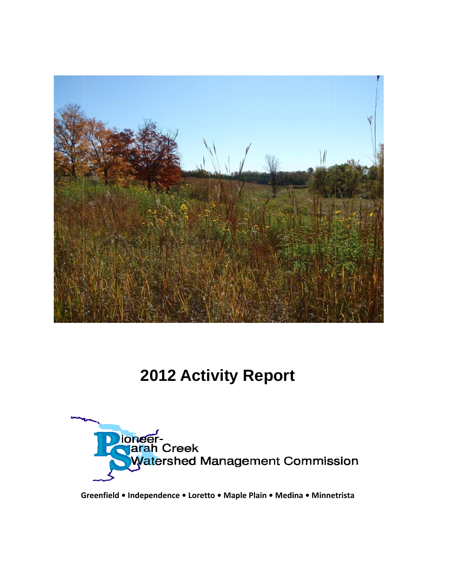

# 2012 Activity Report



Greenfield • Independence • Loretto • Maple Plain • Medina • Minnetrista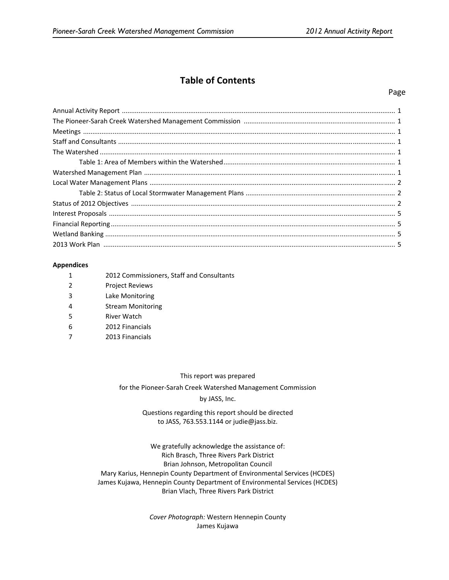# **Table of Contents**

#### Page

#### **Appendices**

|   | 2012 Commissioners, Staff and Consultants |
|---|-------------------------------------------|
| 2 | <b>Project Reviews</b>                    |
| 3 | Lake Monitoring                           |
|   | <b>Stream Monitoring</b>                  |
| 5 | River Watch                               |
| 6 | 2012 Financials                           |
|   | 2013 Financials                           |

#### This report was prepared

for the Pioneer‐Sarah Creek Watershed Management Commission

#### by JASS, Inc.

### Questions regarding this report should be directed to JASS, 763.553.1144 or judie@jass.biz.

We gratefully acknowledge the assistance of: Rich Brasch, Three Rivers Park District Brian Johnson, Metropolitan Council Mary Karius, Hennepin County Department of Environmental Services (HCDES) James Kujawa, Hennepin County Department of Environmental Services (HCDES) Brian Vlach, Three Rivers Park District

> *Cover Photograph:* Western Hennepin County James Kujawa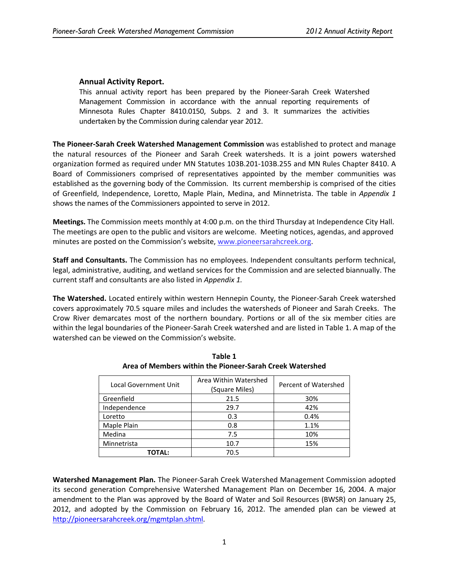## **Annual Activity Report.**

This annual activity report has been prepared by the Pioneer‐Sarah Creek Watershed Management Commission in accordance with the annual reporting requirements of Minnesota Rules Chapter 8410.0150, Subps. 2 and 3. It summarizes the activities undertaken by the Commission during calendar year 2012.

**The Pioneer‐Sarah Creek Watershed Management Commission** was established to protect and manage the natural resources of the Pioneer and Sarah Creek watersheds. It is a joint powers watershed organization formed as required under MN Statutes 103B.201‐103B.255 and MN Rules Chapter 8410. A Board of Commissioners comprised of representatives appointed by the member communities was established as the governing body of the Commission. Its current membership is comprised of the cities of Greenfield, Independence, Loretto, Maple Plain, Medina, and Minnetrista. The table in *Appendix 1* shows the names of the Commissioners appointed to serve in 2012.

**Meetings.** The Commission meets monthly at 4:00 p.m. on the third Thursday at Independence City Hall. The meetings are open to the public and visitors are welcome. Meeting notices, agendas, and approved minutes are posted on the Commission's website, www.pioneersarahcreek.org.

**Staff and Consultants.** The Commission has no employees. Independent consultants perform technical, legal, administrative, auditing, and wetland services for the Commission and are selected biannually. The current staff and consultants are also listed in *Appendix 1.*

**The Watershed.** Located entirely within western Hennepin County, the Pioneer‐Sarah Creek watershed covers approximately 70.5 square miles and includes the watersheds of Pioneer and Sarah Creeks. The Crow River demarcates most of the northern boundary. Portions or all of the six member cities are within the legal boundaries of the Pioneer‐Sarah Creek watershed and are listed in Table 1. A map of the watershed can be viewed on the Commission's website.

| <b>Local Government Unit</b> | Area Within Watershed<br>(Square Miles) | Percent of Watershed |
|------------------------------|-----------------------------------------|----------------------|
| Greenfield                   | 21.5                                    | 30%                  |
| Independence                 | 29.7                                    | 42%                  |
| Loretto                      | 0.3                                     | 0.4%                 |
| Maple Plain                  | 0.8                                     | 1.1%                 |
| Medina                       | 7.5                                     | 10%                  |
| Minnetrista                  | 10.7                                    | 15%                  |
| TOTAL:                       | 70.5                                    |                      |

**Table 1 Area of Members within the Pioneer‐Sarah Creek Watershed**

**Watershed Management Plan.** The Pioneer‐Sarah Creek Watershed Management Commission adopted its second generation Comprehensive Watershed Management Plan on December 16, 2004. A major amendment to the Plan was approved by the Board of Water and Soil Resources (BWSR) on January 25, 2012, and adopted by the Commission on February 16, 2012. The amended plan can be viewed at http://pioneersarahcreek.org/mgmtplan.shtml.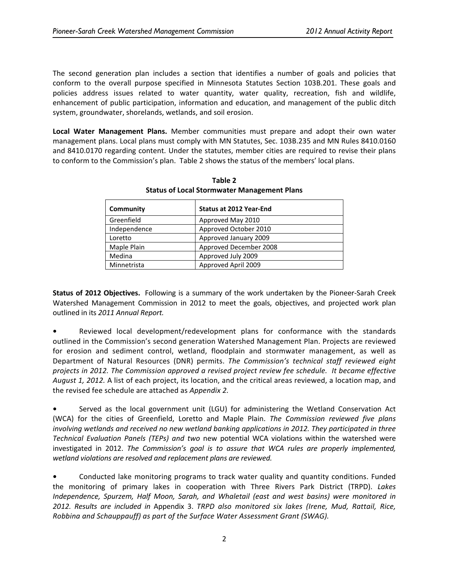The second generation plan includes a section that identifies a number of goals and policies that conform to the overall purpose specified in Minnesota Statutes Section 103B.201. These goals and policies address issues related to water quantity, water quality, recreation, fish and wildlife, enhancement of public participation, information and education, and management of the public ditch system, groundwater, shorelands, wetlands, and soil erosion.

**Local Water Management Plans.** Member communities must prepare and adopt their own water management plans. Local plans must comply with MN Statutes, Sec. 103B.235 and MN Rules 8410.0160 and 8410.0170 regarding content. Under the statutes, member cities are required to revise their plans to conform to the Commission's plan. Table 2 shows the status of the members' local plans.

| Community    | <b>Status at 2012 Year-End</b> |
|--------------|--------------------------------|
| Greenfield   | Approved May 2010              |
| Independence | Approved October 2010          |
| Loretto      | Approved January 2009          |
| Maple Plain  | Approved December 2008         |
| Medina       | Approved July 2009             |
| Minnetrista  | Approved April 2009            |

**Table 2 Status of Local Stormwater Management Plans**

**Status of 2012 Objectives.** Following is a summary of the work undertaken by the Pioneer‐Sarah Creek Watershed Management Commission in 2012 to meet the goals, objectives, and projected work plan outlined in its *2011 Annual Report.*

**•** Reviewed local development/redevelopment plans for conformance with the standards outlined in the Commission's second generation Watershed Management Plan. Projects are reviewed for erosion and sediment control, wetland, floodplain and stormwater management, as well as Department of Natural Resources (DNR) permits. *The Commission's technical staff reviewed eight projects in 2012. The Commission approved a revised project review fee schedule. It became effective August 1, 2012.* A list of each project, its location, and the critical areas reviewed, a location map, and the revised fee schedule are attached as *Appendix 2.*

**•** Served as the local government unit (LGU) for administering the Wetland Conservation Act (WCA) for the cities of Greenfield, Loretto and Maple Plain. *The Commission reviewed five plans involving wetlands and received no new wetland banking applications in 2012. They participated in three Technical Evaluation Panels (TEPs) and two* new potential WCA violations within the watershed were investigated in 2012. *The Commission's goal is to assure that WCA rules are properly implemented, wetland violations are resolved and replacement plans are reviewed.*

**•** Conducted lake monitoring programs to track water quality and quantity conditions. Funded the monitoring of primary lakes in cooperation with Three Rivers Park District (TRPD). *Lakes Independence, Spurzem, Half Moon, Sarah, and Whaletail (east and west basins) were monitored in 2012. Results are included in* Appendix 3. *TRPD also monitored six lakes (Irene, Mud, Rattail, Rice, Robbina and Schauppauff) as part of the Surface Water Assessment Grant (SWAG).*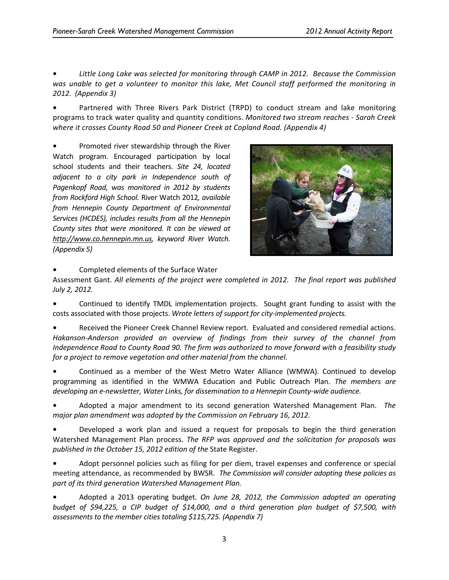**•** *Little Long Lake was selected for monitoring through CAMP in 2012. Because the Commission was unable to get a volunteer to monitor this lake, Met Council staff performed the monitoring in 2012. (Appendix 3)*

**•** Partnered with Three Rivers Park District (TRPD) to conduct stream and lake monitoring programs to track water quality and quantity conditions. *Monitored two stream reaches ‐ Sarah Creek where it crosses County Road 50 and Pioneer Creek at Copland Road. (Appendix 4)*

**•** Promoted river stewardship through the River Watch program. Encouraged participation by local school students and their teachers. *Site 24, located adjacent to a city park in Independence south of Pagenkopf Road, was monitored in 2012 by students from Rockford High School.* River Watch 2012*, available from Hennepin County Department of Environmental Services (HCDES), includes results from all the Hennepin County sites that were monitored. It can be viewed at http://www.co.hennepin.mn.us, keyword River Watch. (Appendix 5)*



**•** Completed elements of the Surface Water

Assessment Gant. *All elements of the project were completed in 2012. The final report was published July 2, 2012.*

Continued to identify TMDL implementation projects. Sought grant funding to assist with the costs associated with those projects. *Wrote letters of support for city‐implemented projects.*

**•** Received the Pioneer Creek Channel Review report. Evaluated and considered remedial actions. *Hakanson‐Anderson provided an overview of findings from their survey of the channel from Independence Road to County Road 90. The firm was authorized to move forward with a feasibility study for a project to remove vegetation and other material from the channel.*

**•** Continued as a member of the West Metro Water Alliance (WMWA). Continued to develop programming as identified in the WMWA Education and Public Outreach Plan. *The members are developing an e‐newsletter, Water Links, for dissemination to a Hennepin County‐wide audience.*

**•** Adopted a major amendment to its second generation Watershed Management Plan. *The major plan amendment was adopted by the Commission on February 16, 2012.*

**•** Developed a work plan and issued a request for proposals to begin the third generation Watershed Management Plan process. *The RFP was approved and the solicitation for proposals was published in the October 15, 2012 edition of the* State Register.

**•** Adopt personnel policies such as filing for per diem, travel expenses and conference or special meeting attendance, as recommended by BWSR. *The Commission will consider adopting these policies as part of its third generation Watershed Management Plan.*

**•** Adopted a 2013 operating budget. *On June 28, 2012, the Commission adopted an operating budget of \$94,225, a CIP budget of \$14,000, and a third generation plan budget of \$7,500, with assessments to the member cities totaling \$115,725. (Appendix 7)*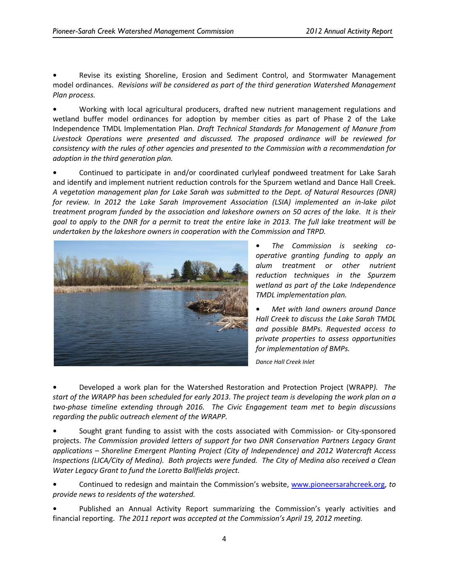**•** Revise its existing Shoreline, Erosion and Sediment Control, and Stormwater Management model ordinances. *Revisions will be considered as part of the third generation Watershed Management Plan process.*

**•** Working with local agricultural producers, drafted new nutrient management regulations and wetland buffer model ordinances for adoption by member cities as part of Phase 2 of the Lake Independence TMDL Implementation Plan. *Draft Technical Standards for Management of Manure from Livestock Operations were presented and discussed. The proposed ordinance will be reviewed for consistency with the rules of other agencies and presented to the Commission with a recommendation for adoption in the third generation plan.* 

**•** Continued to participate in and/or coordinated curlyleaf pondweed treatment for Lake Sarah and identify and implement nutrient reduction controls for the Spurzem wetland and Dance Hall Creek. *A vegetation management plan for Lake Sarah was submitted to the Dept. of Natural Resources (DNR) for review. In 2012 the Lake Sarah Improvement Association (LSIA) implemented an in‐lake pilot* treatment program funded by the association and lakeshore owners on 50 acres of the lake. It is their goal to apply to the DNR for a permit to treat the entire lake in 2013. The full lake treatment will be *undertaken by the lakeshore owners in cooperation with the Commission and TRPD.*



**•** *The Commission is seeking co‐ operative granting funding to apply an alum treatment or other nutrient reduction techniques in the Spurzem wetland as part of the Lake Independence TMDL implementation plan.*

**•** *Met with land owners around Dance Hall Creek to discuss the Lake Sarah TMDL and possible BMPs. Requested access to private properties to assess opportunities for implementation of BMPs.*

*Dance Hall Creek Inlet*

**•** Developed a work plan for the Watershed Restoration and Protection Project (WRAPP*). The* start of the WRAPP has been scheduled for early 2013. The project team is developing the work plan on a *two‐phase timeline extending through 2016. The Civic Engagement team met to begin discussions regarding the public outreach element of the WRAPP.* 

Sought grant funding to assist with the costs associated with Commission- or City-sponsored projects. *The Commission provided letters of support for two DNR Conservation Partners Legacy Grant applications – Shoreline Emergent Planting Project (City of Independence) and 2012 Watercraft Access* Inspections (LICA/City of Medina). Both projects were funded. The City of Medina also received a Clean *Water Legacy Grant to fund the Loretto Ballfields project.*

**•** Continued to redesign and maintain the Commission's website, www.pioneersarahcreek.org, *to provide news to residents of the watershed.* 

**•** Published an Annual Activity Report summarizing the Commission's yearly activities and financial reporting. *The 2011 report was accepted at the Commission's April 19, 2012 meeting.*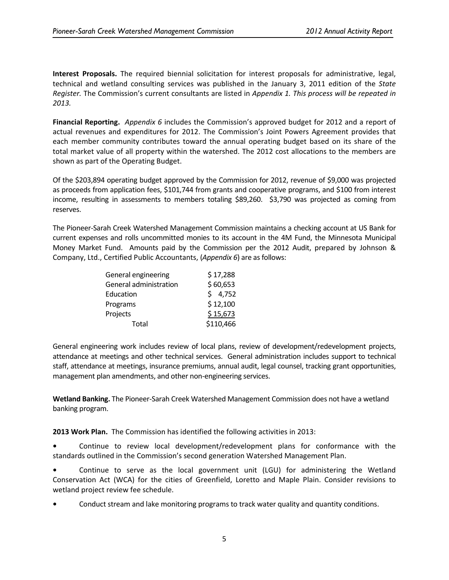**Interest Proposals.** The required biennial solicitation for interest proposals for administrative, legal, technical and wetland consulting services was published in the January 3, 2011 edition of the *State Register.* The Commission's current consultants are listed in *Appendix 1. This process will be repeated in 2013.*

**Financial Reporting.** *Appendix 6* includes the Commission's approved budget for 2012 and a report of actual revenues and expenditures for 2012. The Commission's Joint Powers Agreement provides that each member community contributes toward the annual operating budget based on its share of the total market value of all property within the watershed. The 2012 cost allocations to the members are shown as part of the Operating Budget.

Of the \$203,894 operating budget approved by the Commission for 2012, revenue of \$9,000 was projected as proceeds from application fees, \$101,744 from grants and cooperative programs, and \$100 from interest income, resulting in assessments to members totaling \$89,260. \$3,790 was projected as coming from reserves.

The Pioneer‐Sarah Creek Watershed Management Commission maintains a checking account at US Bank for current expenses and rolls uncommitted monies to its account in the 4M Fund, the Minnesota Municipal Money Market Fund. Amounts paid by the Commission per the 2012 Audit, prepared by Johnson & Company, Ltd., Certified Public Accountants, (*Appendix 6*) are asfollows:

| General engineering    | \$17,288  |
|------------------------|-----------|
| General administration | \$60,653  |
| Education              | \$4,752   |
| Programs               | \$12,100  |
| Projects               | \$15,673  |
| Total                  | \$110,466 |

General engineering work includes review of local plans, review of development/redevelopment projects, attendance at meetings and other technical services. General administration includes support to technical staff, attendance at meetings, insurance premiums, annual audit, legal counsel, tracking grant opportunities, management plan amendments, and other non‐engineering services.

**Wetland Banking.** The Pioneer‐Sarah Creek Watershed Management Commission does not have a wetland banking program.

**2013 Work Plan.** The Commission has identified the following activities in 2013:

**•** Continue to review local development/redevelopment plans for conformance with the standards outlined in the Commission's second generation Watershed Management Plan.

**•** Continue to serve as the local government unit (LGU) for administering the Wetland Conservation Act (WCA) for the cities of Greenfield, Loretto and Maple Plain. Consider revisions to wetland project review fee schedule.

**•** Conduct stream and lake monitoring programs to track water quality and quantity conditions.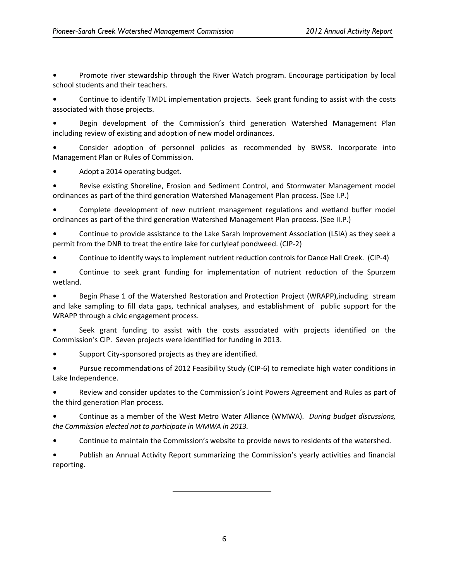**•** Promote river stewardship through the River Watch program. Encourage participation by local school students and their teachers.

**•** Continue to identify TMDL implementation projects. Seek grant funding to assist with the costs associated with those projects.

**•** Begin development of the Commission's third generation Watershed Management Plan including review of existing and adoption of new model ordinances.

**•** Consider adoption of personnel policies as recommended by BWSR. Incorporate into Management Plan or Rules of Commission.

**•** Adopt a 2014 operating budget.

**•** Revise existing Shoreline, Erosion and Sediment Control, and Stormwater Management model ordinances as part of the third generation Watershed Management Plan process. (See I.P.)

**•** Complete development of new nutrient management regulations and wetland buffer model ordinances as part of the third generation Watershed Management Plan process. (See II.P.)

**•** Continue to provide assistance to the Lake Sarah Improvement Association (LSIA) as they seek a permit from the DNR to treat the entire lake for curlyleaf pondweed. (CIP‐2)

**•** Continue to identify ways to implement nutrient reduction controls for Dance Hall Creek. (CIP‐4)

**•** Continue to seek grant funding for implementation of nutrient reduction of the Spurzem wetland.

**•** Begin Phase 1 of the Watershed Restoration and Protection Project (WRAPP),including stream and lake sampling to fill data gaps, technical analyses, and establishment of public support for the WRAPP through a civic engagement process.

**•** Seek grant funding to assist with the costs associated with projects identified on the Commission's CIP. Seven projects were identified for funding in 2013.

**•** Support City‐sponsored projects as they are identified.

**•** Pursue recommendations of 2012 Feasibility Study (CIP‐6) to remediate high water conditions in Lake Independence.

**•** Review and consider updates to the Commission's Joint Powers Agreement and Rules as part of the third generation Plan process.

**•** Continue as a member of the West Metro Water Alliance (WMWA). *During budget discussions, the Commission elected not to participate in WMWA in 2013.*

**•** Continue to maintain the Commission's website to provide news to residents of the watershed.

**•** Publish an Annual Activity Report summarizing the Commission's yearly activities and financial reporting.